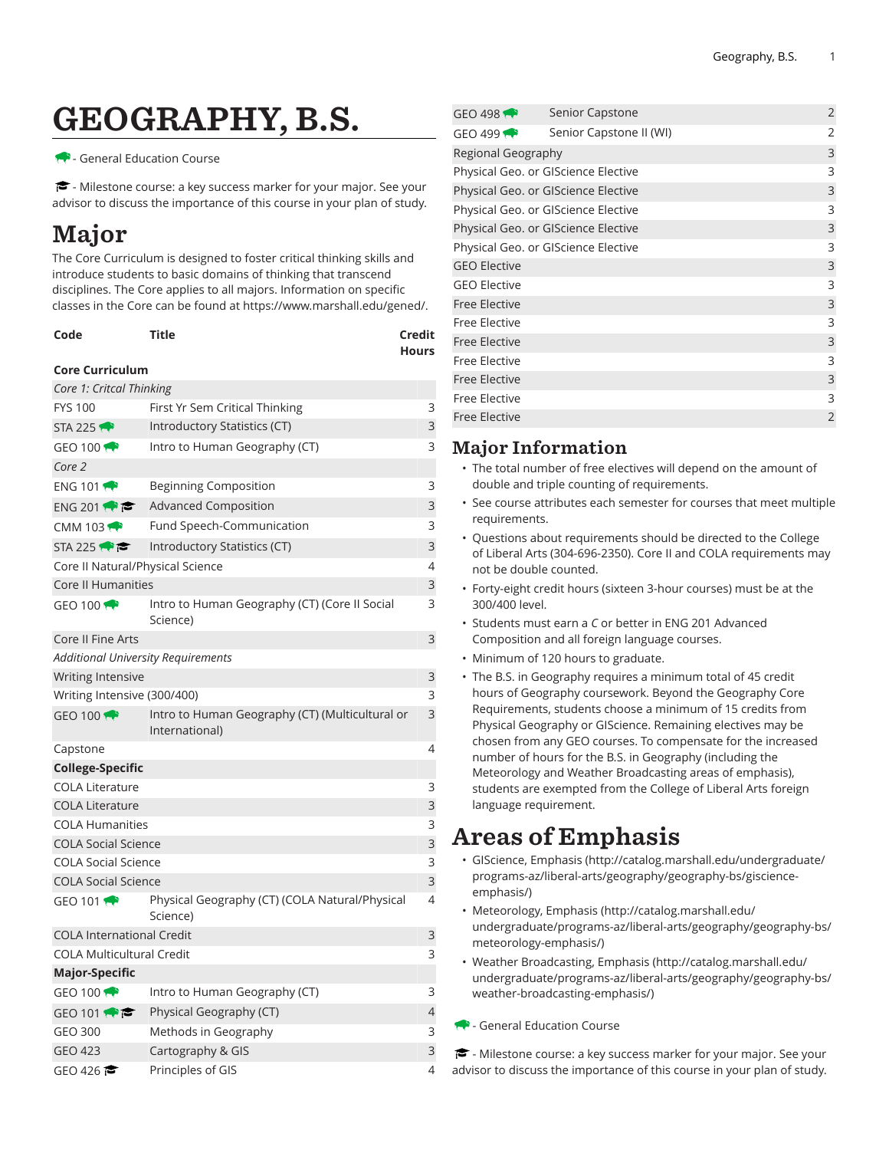# GEOGRAPHY, B.S.

#### - General Education Course

<del>■</del> - Milestone course: a key success marker for your major. See your advisor to discuss the importance of this course in your plan of study.

## Major

The Core Curriculum is designed to foster critical thinking skills and introduce students to basic domains of thinking that transcend disciplines. The Core applies to all majors. Information on specific classes in the Core can be found at [https://www.marshall.edu/gened/.](https://www.marshall.edu/gened/)

| Code | Title | Credit       |
|------|-------|--------------|
|      |       | <b>Hours</b> |

#### **Core Curriculum**

| Core 1: Critcal Thinking                  |                                                                   |   |
|-------------------------------------------|-------------------------------------------------------------------|---|
| <b>FYS 100</b>                            | 3<br>First Yr Sem Critical Thinking                               |   |
| <b>STA 225</b>                            | Introductory Statistics (CT)                                      | 3 |
| GEO 100 $\bullet$                         | Intro to Human Geography (CT)                                     | 3 |
| Core 2                                    |                                                                   |   |
| ENG 101                                   | <b>Beginning Composition</b>                                      | 3 |
| ENG 201                                   | Advanced Composition                                              | 3 |
| CMM 103 $\leftrightarrow$                 | Fund Speech-Communication                                         | 3 |
| STA 225                                   | Introductory Statistics (CT)                                      | 3 |
| Core II Natural/Physical Science          |                                                                   | 4 |
| Core II Humanities                        |                                                                   | 3 |
| GEO 100 $\bigoplus$                       | Intro to Human Geography (CT) (Core II Social<br>Science)         | 3 |
| Core II Fine Arts                         |                                                                   | 3 |
| <b>Additional University Requirements</b> |                                                                   |   |
| Writing Intensive                         |                                                                   | 3 |
| Writing Intensive (300/400)               |                                                                   | 3 |
| GEO 100                                   | Intro to Human Geography (CT) (Multicultural or<br>International) | 3 |
| Capstone                                  |                                                                   | 4 |
| <b>College-Specific</b>                   |                                                                   |   |
| <b>COLA Literature</b>                    |                                                                   | 3 |
| <b>COLA Literature</b>                    |                                                                   | 3 |
| <b>COLA Humanities</b>                    |                                                                   | 3 |
| <b>COLA Social Science</b>                |                                                                   | 3 |
| <b>COLA Social Science</b>                |                                                                   | 3 |
| <b>COLA Social Science</b>                |                                                                   | 3 |
| GEO 101 $\bullet$                         | Physical Geography (CT) (COLA Natural/Physical<br>Science)        | 4 |
| <b>COLA International Credit</b>          |                                                                   | 3 |
| <b>COLA Multicultural Credit</b>          |                                                                   | 3 |
| Major-Specific                            |                                                                   |   |
| GEO 100 $\bigoplus$                       | Intro to Human Geography (CT)                                     | 3 |
| GEO 101 $\leftrightarrow$                 | Physical Geography (CT)                                           | 4 |
| <b>GEO 300</b>                            | Methods in Geography                                              | 3 |
| <b>GEO 423</b>                            | Cartography & GIS                                                 | 3 |
| GEO 426                                   | Principles of GIS                                                 | 4 |

| GEO 498                             | Senior Capstone         |   | 2              |
|-------------------------------------|-------------------------|---|----------------|
| GEO 499                             | Senior Capstone II (WI) |   | 2              |
| Regional Geography                  |                         |   | 3              |
| Physical Geo. or GIScience Elective |                         |   | 3              |
| Physical Geo. or GIScience Elective |                         |   | 3              |
| Physical Geo. or GIScience Elective |                         |   | 3              |
| Physical Geo. or GIScience Elective |                         | 3 |                |
| Physical Geo. or GIScience Elective |                         | 3 |                |
| <b>GEO Elective</b>                 |                         |   | 3              |
| <b>GEO Elective</b>                 |                         |   | 3              |
| <b>Free Elective</b>                |                         |   | 3              |
| Free Elective                       |                         |   | 3              |
| <b>Free Elective</b>                |                         | 3 |                |
| <b>Free Elective</b>                |                         |   | 3              |
| <b>Free Elective</b>                |                         |   | 3              |
| <b>Free Elective</b>                |                         |   | 3              |
| <b>Free Elective</b>                |                         |   | $\overline{2}$ |
|                                     |                         |   |                |

### Major Information

- The total number of free electives will depend on the amount of double and triple counting of requirements.
- See course attributes each semester for courses that meet multiple requirements.
- Questions about requirements should be directed to the College of Liberal Arts (304-696-2350). Core II and COLA requirements may not be double counted.
- Forty-eight credit hours (sixteen 3-hour courses) must be at the 300/400 level.
- Students must earn a *C* or better in ENG 201 Advanced Composition and all foreign language courses.
- Minimum of 120 hours to graduate.
- The B.S. in Geography requires a minimum total of 45 credit hours of Geography coursework. Beyond the Geography Core Requirements, students choose a minimum of 15 credits from Physical Geography or GIScience. Remaining electives may be chosen from any GEO courses. To compensate for the increased number of hours for the B.S. in Geography (including the Meteorology and Weather Broadcasting areas of emphasis), students are exempted from the College of Liberal Arts foreign language requirement.

## Areas of Emphasis

- [GIScience, Emphasis](http://catalog.marshall.edu/undergraduate/programs-az/liberal-arts/geography/geography-bs/giscience-emphasis/) ([http://catalog.marshall.edu/undergraduate/](http://catalog.marshall.edu/undergraduate/programs-az/liberal-arts/geography/geography-bs/giscience-emphasis/) [programs-az/liberal-arts/geography/geography-bs/giscience](http://catalog.marshall.edu/undergraduate/programs-az/liberal-arts/geography/geography-bs/giscience-emphasis/)[emphasis/](http://catalog.marshall.edu/undergraduate/programs-az/liberal-arts/geography/geography-bs/giscience-emphasis/))
- [Meteorology,](http://catalog.marshall.edu/undergraduate/programs-az/liberal-arts/geography/geography-bs/meteorology-emphasis/) Emphasis [\(http://catalog.marshall.edu/](http://catalog.marshall.edu/undergraduate/programs-az/liberal-arts/geography/geography-bs/meteorology-emphasis/) [undergraduate/programs-az/liberal-arts/geography/geography-bs/](http://catalog.marshall.edu/undergraduate/programs-az/liberal-arts/geography/geography-bs/meteorology-emphasis/) [meteorology-emphasis/\)](http://catalog.marshall.edu/undergraduate/programs-az/liberal-arts/geography/geography-bs/meteorology-emphasis/)
- Weather [Broadcasting,](http://catalog.marshall.edu/undergraduate/programs-az/liberal-arts/geography/geography-bs/weather-broadcasting-emphasis/) Emphasis [\(http://catalog.marshall.edu/](http://catalog.marshall.edu/undergraduate/programs-az/liberal-arts/geography/geography-bs/weather-broadcasting-emphasis/) [undergraduate/programs-az/liberal-arts/geography/geography-bs/](http://catalog.marshall.edu/undergraduate/programs-az/liberal-arts/geography/geography-bs/weather-broadcasting-emphasis/) [weather-broadcasting-emphasis/](http://catalog.marshall.edu/undergraduate/programs-az/liberal-arts/geography/geography-bs/weather-broadcasting-emphasis/))
- General Education Course

 $\blacktriangleright$  - Milestone course: a key success marker for your major. See your advisor to discuss the importance of this course in your plan of study.